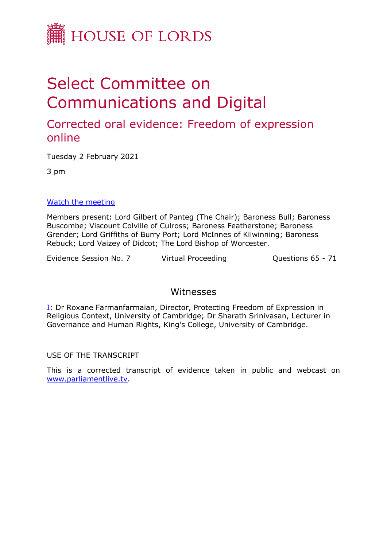

# Select Committee on Communications and Digital

## Corrected oral evidence: Freedom of expression online

Tuesday 2 February 2021

3 pm

#### [Watch](https://parliamentlive.tv/event/index/de26f2e6-4066-4524-81f9-284de191270b) [the](https://parliamentlive.tv/event/index/de26f2e6-4066-4524-81f9-284de191270b) [meeting](https://parliamentlive.tv/event/index/de26f2e6-4066-4524-81f9-284de191270b)

Members present: Lord Gilbert of Panteg (The Chair); Baroness Bull; Baroness Buscombe; Viscount Colville of Culross; Baroness Featherstone; Baroness Grender; Lord Griffiths of Burry Port; Lord McInnes of Kilwinning; Baroness Rebuck; Lord Vaizey of Didcot; The Lord Bishop of Worcester.

Evidence Session No. 7 Virtual Proceeding Cuestions 65 - 71

#### Witnesses

I: Dr Roxane Farmanfarmaian, Director, Protecting Freedom of Expression in Religious Context, University of Cambridge; Dr Sharath Srinivasan, Lecturer in Governance and Human Rights, King's College, University of Cambridge.

USE OF THE TRANSCRIPT

This is a corrected transcript of evidence taken in public and webcast on [www.parliamentlive.tv](http://www.parliamentlive.tv/).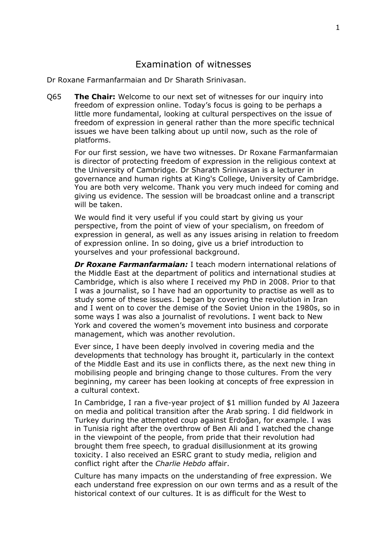### Examination of witnesses

Dr Roxane Farmanfarmaian and Dr Sharath Srinivasan.

Q65 **The Chair:** Welcome to our next set of witnesses for our inquiry into freedom of expression online. Today's focus is going to be perhaps a little more fundamental, looking at cultural perspectives on the issue of freedom of expression in general rather than the more specific technical issues we have been talking about up until now, such as the role of platforms.

For our first session, we have two witnesses. Dr Roxane Farmanfarmaian is director of protecting freedom of expression in the religious context at the University of Cambridge. Dr Sharath Srinivasan is a lecturer in governance and human rights at King's College, University of Cambridge. You are both very welcome. Thank you very much indeed for coming and giving us evidence. The session will be broadcast online and a transcript will be taken.

We would find it very useful if you could start by giving us your perspective, from the point of view of your specialism, on freedom of expression in general, as well as any issues arising in relation to freedom of expression online. In so doing, give us a brief introduction to yourselves and your professional background.

*Dr Roxane Farmanfarmaian:* I teach modern international relations of the Middle East at the department of politics and international studies at Cambridge, which is also where I received my PhD in 2008. Prior to that I was a journalist, so I have had an opportunity to practise as well as to study some of these issues. I began by covering the revolution in Iran and I went on to cover the demise of the Soviet Union in the 1980s, so in some ways I was also a journalist of revolutions. I went back to New York and covered the women's movement into business and corporate management, which was another revolution.

Ever since, I have been deeply involved in covering media and the developments that technology has brought it, particularly in the context of the Middle East and its use in conflicts there, as the next new thing in mobilising people and bringing change to those cultures. From the very beginning, my career has been looking at concepts of free expression in a cultural context.

In Cambridge, I ran a five-year project of \$1 million funded by Al Jazeera on media and political transition after the Arab spring. I did fieldwork in Turkey during the attempted coup against Erdoğan, for example. I was in Tunisia right after the overthrow of Ben Ali and I watched the change in the viewpoint of the people, from pride that their revolution had brought them free speech, to gradual disillusionment at its growing toxicity. I also received an ESRC grant to study media, religion and conflict right after the *Charlie Hebdo* affair.

Culture has many impacts on the understanding of free expression. We each understand free expression on our own terms and as a result of the historical context of our cultures. It is as difficult for the West to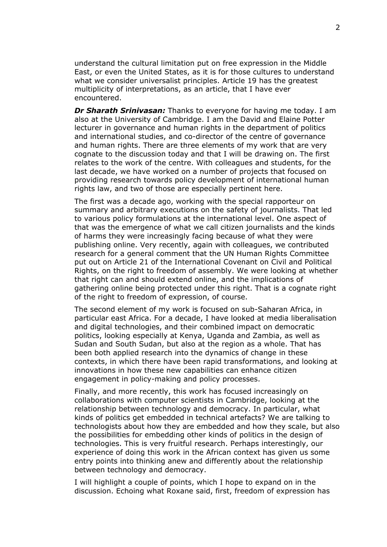understand the cultural limitation put on free expression in the Middle East, or even the United States, as it is for those cultures to understand what we consider universalist principles. Article 19 has the greatest multiplicity of interpretations, as an article, that I have ever encountered.

*Dr Sharath Srinivasan:* Thanks to everyone for having me today. I am also at the University of Cambridge. I am the David and Elaine Potter lecturer in governance and human rights in the department of politics and international studies, and co-director of the centre of governance and human rights. There are three elements of my work that are very cognate to the discussion today and that I will be drawing on. The first relates to the work of the centre. With colleagues and students, for the last decade, we have worked on a number of projects that focused on providing research towards policy development of international human rights law, and two of those are especially pertinent here.

The first was a decade ago, working with the special rapporteur on summary and arbitrary executions on the safety of journalists. That led to various policy formulations at the international level. One aspect of that was the emergence of what we call citizen journalists and the kinds of harms they were increasingly facing because of what they were publishing online. Very recently, again with colleagues, we contributed research for a general comment that the UN Human Rights Committee put out on Article 21 of the International Covenant on Civil and Political Rights, on the right to freedom of assembly. We were looking at whether that right can and should extend online, and the implications of gathering online being protected under this right. That is a cognate right of the right to freedom of expression, of course.

The second element of my work is focused on sub-Saharan Africa, in particular east Africa. For a decade, I have looked at media liberalisation and digital technologies, and their combined impact on democratic politics, looking especially at Kenya, Uganda and Zambia, as well as Sudan and South Sudan, but also at the region as a whole. That has been both applied research into the dynamics of change in these contexts, in which there have been rapid transformations, and looking at innovations in how these new capabilities can enhance citizen engagement in policy-making and policy processes.

Finally, and more recently, this work has focused increasingly on collaborations with computer scientists in Cambridge, looking at the relationship between technology and democracy. In particular, what kinds of politics get embedded in technical artefacts? We are talking to technologists about how they are embedded and how they scale, but also the possibilities for embedding other kinds of politics in the design of technologies. This is very fruitful research. Perhaps interestingly, our experience of doing this work in the African context has given us some entry points into thinking anew and differently about the relationship between technology and democracy.

I will highlight a couple of points, which I hope to expand on in the discussion. Echoing what Roxane said, first, freedom of expression has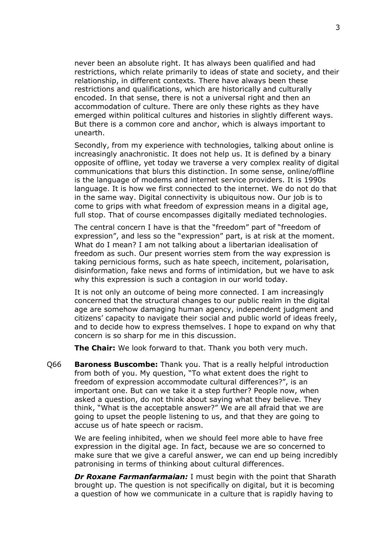never been an absolute right. It has always been qualified and had restrictions, which relate primarily to ideas of state and society, and their relationship, in different contexts. There have always been these restrictions and qualifications, which are historically and culturally encoded. In that sense, there is not a universal right and then an accommodation of culture. There are only these rights as they have emerged within political cultures and histories in slightly different ways. But there is a common core and anchor, which is always important to unearth.

Secondly, from my experience with technologies, talking about online is increasingly anachronistic. It does not help us. It is defined by a binary opposite of offline, yet today we traverse a very complex reality of digital communications that blurs this distinction. In some sense, online/offline is the language of modems and internet service providers. It is 1990s language. It is how we first connected to the internet. We do not do that in the same way. Digital connectivity is ubiquitous now. Our job is to come to grips with what freedom of expression means in a digital age, full stop. That of course encompasses digitally mediated technologies.

The central concern I have is that the "freedom" part of "freedom of expression", and less so the "expression" part, is at risk at the moment. What do I mean? I am not talking about a libertarian idealisation of freedom as such. Our present worries stem from the way expression is taking pernicious forms, such as hate speech, incitement, polarisation, disinformation, fake news and forms of intimidation, but we have to ask why this expression is such a contagion in our world today.

It is not only an outcome of being more connected. I am increasingly concerned that the structural changes to our public realm in the digital age are somehow damaging human agency, independent judgment and citizens' capacity to navigate their social and public world of ideas freely, and to decide how to express themselves. I hope to expand on why that concern is so sharp for me in this discussion.

**The Chair:** We look forward to that. Thank you both very much.

Q66 **Baroness Buscombe:** Thank you. That is a really helpful introduction from both of you. My question, "To what extent does the right to freedom of expression accommodate cultural differences?", is an important one. But can we take it a step further? People now, when asked a question, do not think about saying what they believe. They think, "What is the acceptable answer?" We are all afraid that we are going to upset the people listening to us, and that they are going to accuse us of hate speech or racism.

We are feeling inhibited, when we should feel more able to have free expression in the digital age. In fact, because we are so concerned to make sure that we give a careful answer, we can end up being incredibly patronising in terms of thinking about cultural differences.

*Dr Roxane Farmanfarmaian:* I must begin with the point that Sharath brought up. The question is not specifically on digital, but it is becoming a question of how we communicate in a culture that is rapidly having to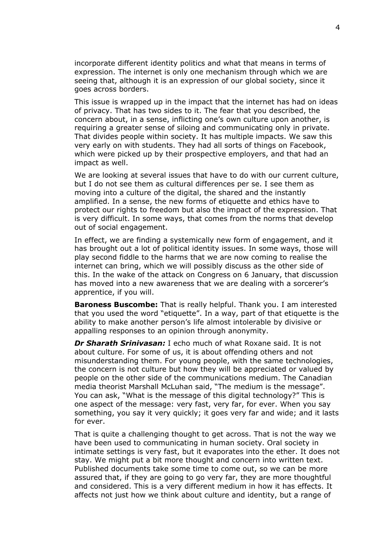incorporate different identity politics and what that means in terms of expression. The internet is only one mechanism through which we are seeing that, although it is an expression of our global society, since it goes across borders.

This issue is wrapped up in the impact that the internet has had on ideas of privacy. That has two sides to it. The fear that you described, the concern about, in a sense, inflicting one's own culture upon another, is requiring a greater sense of siloing and communicating only in private. That divides people within society. It has multiple impacts. We saw this very early on with students. They had all sorts of things on Facebook, which were picked up by their prospective employers, and that had an impact as well.

We are looking at several issues that have to do with our current culture, but I do not see them as cultural differences per se. I see them as moving into a culture of the digital, the shared and the instantly amplified. In a sense, the new forms of etiquette and ethics have to protect our rights to freedom but also the impact of the expression. That is very difficult. In some ways, that comes from the norms that develop out of social engagement.

In effect, we are finding a systemically new form of engagement, and it has brought out a lot of political identity issues. In some ways, those will play second fiddle to the harms that we are now coming to realise the internet can bring, which we will possibly discuss as the other side of this. In the wake of the attack on Congress on 6 January, that discussion has moved into a new awareness that we are dealing with a sorcerer's apprentice, if you will.

**Baroness Buscombe:** That is really helpful. Thank you. I am interested that you used the word "etiquette". In a way, part of that etiquette is the ability to make another person's life almost intolerable by divisive or appalling responses to an opinion through anonymity.

*Dr Sharath Srinivasan:* I echo much of what Roxane said. It is not about culture. For some of us, it is about offending others and not misunderstanding them. For young people, with the same technologies, the concern is not culture but how they will be appreciated or valued by people on the other side of the communications medium. The Canadian media theorist Marshall McLuhan said, "The medium is the message". You can ask, "What is the message of this digital technology?" This is one aspect of the message: very fast, very far, for ever. When you say something, you say it very quickly; it goes very far and wide; and it lasts for ever.

That is quite a challenging thought to get across. That is not the way we have been used to communicating in human society. Oral society in intimate settings is very fast, but it evaporates into the ether. It does not stay. We might put a bit more thought and concern into written text. Published documents take some time to come out, so we can be more assured that, if they are going to go very far, they are more thoughtful and considered. This is a very different medium in how it has effects. It affects not just how we think about culture and identity, but a range of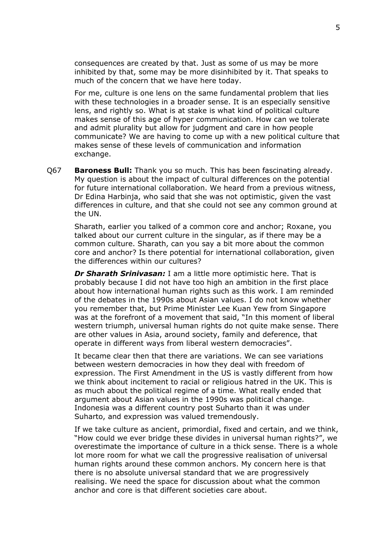consequences are created by that. Just as some of us may be more inhibited by that, some may be more disinhibited by it. That speaks to much of the concern that we have here today.

For me, culture is one lens on the same fundamental problem that lies with these technologies in a broader sense. It is an especially sensitive lens, and rightly so. What is at stake is what kind of political culture makes sense of this age of hyper communication. How can we tolerate and admit plurality but allow for judgment and care in how people communicate? We are having to come up with a new political culture that makes sense of these levels of communication and information exchange.

Q67 **Baroness Bull:** Thank you so much. This has been fascinating already. My question is about the impact of cultural differences on the potential for future international collaboration. We heard from a previous witness, Dr Edina Harbinja, who said that she was not optimistic, given the vast differences in culture, and that she could not see any common ground at the UN.

Sharath, earlier you talked of a common core and anchor; Roxane, you talked about our current culture in the singular, as if there may be a common culture. Sharath, can you say a bit more about the common core and anchor? Is there potential for international collaboration, given the differences within our cultures?

*Dr Sharath Srinivasan:* I am a little more optimistic here. That is probably because I did not have too high an ambition in the first place about how international human rights such as this work. I am reminded of the debates in the 1990s about Asian values. I do not know whether you remember that, but Prime Minister Lee Kuan Yew from Singapore was at the forefront of a movement that said, "In this moment of liberal western triumph, universal human rights do not quite make sense. There are other values in Asia, around society, family and deference, that operate in different ways from liberal western democracies".

It became clear then that there are variations. We can see variations between western democracies in how they deal with freedom of expression. The First Amendment in the US is vastly different from how we think about incitement to racial or religious hatred in the UK. This is as much about the political regime of a time. What really ended that argument about Asian values in the 1990s was political change. Indonesia was a different country post Suharto than it was under Suharto, and expression was valued tremendously.

If we take culture as ancient, primordial, fixed and certain, and we think, "How could we ever bridge these divides in universal human rights?", we overestimate the importance of culture in a thick sense. There is a whole lot more room for what we call the progressive realisation of universal human rights around these common anchors. My concern here is that there is no absolute universal standard that we are progressively realising. We need the space for discussion about what the common anchor and core is that different societies care about.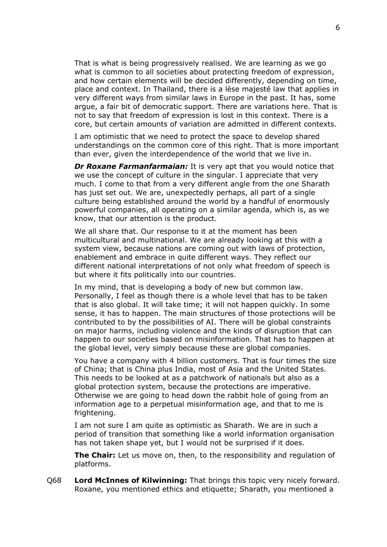That is what is being progressively realised. We are learning as we go what is common to all societies about protecting freedom of expression, and how certain elements will be decided differently, depending on time, place and context. In Thailand, there is a lèse majesté law that applies in very different ways from similar laws in Europe in the past. It has, some argue, a fair bit of democratic support. There are variations here. That is not to say that freedom of expression is lost in this context. There is a core, but certain amounts of variation are admitted in different contexts.

I am optimistic that we need to protect the space to develop shared understandings on the common core of this right. That is more important than ever, given the interdependence of the world that we live in.

**Dr Roxane Farmanfarmaian:** It is very apt that you would notice that we use the concept of culture in the singular. I appreciate that very much. I come to that from a very different angle from the one Sharath has just set out. We are, unexpectedly perhaps, all part of a single culture being established around the world by a handful of enormously powerful companies, all operating on a similar agenda, which is, as we know, that our attention is the product.

We all share that. Our response to it at the moment has been multicultural and multinational. We are already looking at this with a system view, because nations are coming out with laws of protection, enablement and embrace in quite different ways. They reflect our different national interpretations of not only what freedom of speech is but where it fits politically into our countries.

In my mind, that is developing a body of new but common law. Personally, I feel as though there is a whole level that has to be taken that is also global. It will take time; it will not happen quickly. In some sense, it has to happen. The main structures of those protections will be contributed to by the possibilities of AI. There will be global constraints on major harms, including violence and the kinds of disruption that can happen to our societies based on misinformation. That has to happen at the global level, very simply because these are global companies.

You have a company with 4 billion customers. That is four times the size of China; that is China plus India, most of Asia and the United States. This needs to be looked at as a patchwork of nationals but also as a global protection system, because the protections are imperative. Otherwise we are going to head down the rabbit hole of going from an information age to a perpetual misinformation age, and that to me is frightening.

I am not sure I am quite as optimistic as Sharath. We are in such a period of transition that something like a world information organisation has not taken shape yet, but I would not be surprised if it does.

**The Chair:** Let us move on, then, to the responsibility and regulation of platforms.

Q68 **Lord McInnes of Kilwinning:** That brings this topic very nicely forward. Roxane, you mentioned ethics and etiquette; Sharath, you mentioned a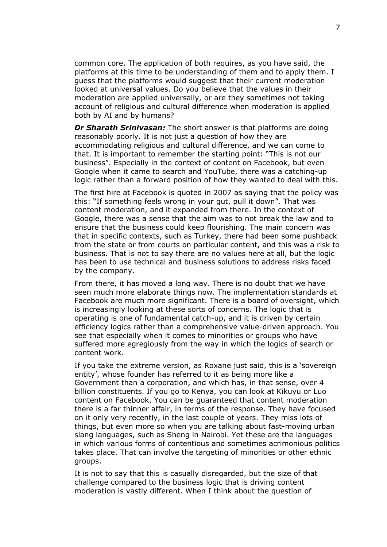common core. The application of both requires, as you have said, the platforms at this time to be understanding of them and to apply them. I guess that the platforms would suggest that their current moderation looked at universal values. Do you believe that the values in their moderation are applied universally, or are they sometimes not taking account of religious and cultural difference when moderation is applied both by AI and by humans?

*Dr Sharath Srinivasan:* The short answer is that platforms are doing reasonably poorly. It is not just a question of how they are accommodating religious and cultural difference, and we can come to that. It is important to remember the starting point: "This is not our business". Especially in the context of content on Facebook, but even Google when it came to search and YouTube, there was a catching-up logic rather than a forward position of how they wanted to deal with this.

The first hire at Facebook is quoted in 2007 as saying that the policy was this: "If something feels wrong in your gut, pull it down". That was content moderation, and it expanded from there. In the context of Google, there was a sense that the aim was to not break the law and to ensure that the business could keep flourishing. The main concern was that in specific contexts, such as Turkey, there had been some pushback from the state or from courts on particular content, and this was a risk to business. That is not to say there are no values here at all, but the logic has been to use technical and business solutions to address risks faced by the company.

From there, it has moved a long way. There is no doubt that we have seen much more elaborate things now. The implementation standards at Facebook are much more significant. There is a board of oversight, which is increasingly looking at these sorts of concerns. The logic that is operating is one of fundamental catch-up, and it is driven by certain efficiency logics rather than a comprehensive value-driven approach. You see that especially when it comes to minorities or groups who have suffered more egregiously from the way in which the logics of search or content work.

If you take the extreme version, as Roxane just said, this is a 'sovereign entity', whose founder has referred to it as being more like a Government than a corporation, and which has, in that sense, over 4 billion constituents. If you go to Kenya, you can look at Kikuyu or Luo content on Facebook. You can be guaranteed that content moderation there is a far thinner affair, in terms of the response. They have focused on it only very recently, in the last couple of years. They miss lots of things, but even more so when you are talking about fast-moving urban slang languages, such as Sheng in Nairobi. Yet these are the languages in which various forms of contentious and sometimes acrimonious politics takes place. That can involve the targeting of minorities or other ethnic groups.

It is not to say that this is casually disregarded, but the size of that challenge compared to the business logic that is driving content moderation is vastly different. When I think about the question of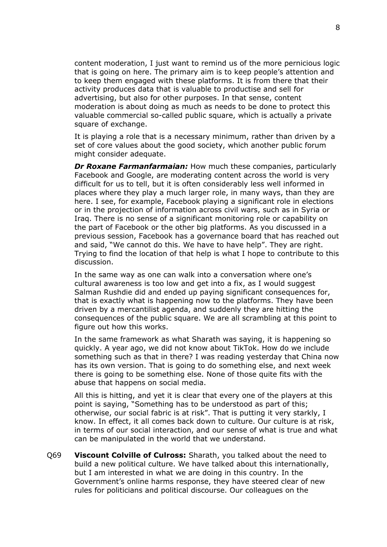content moderation, I just want to remind us of the more pernicious logic that is going on here. The primary aim is to keep people's attention and to keep them engaged with these platforms. It is from there that their activity produces data that is valuable to productise and sell for advertising, but also for other purposes. In that sense, content moderation is about doing as much as needs to be done to protect this valuable commercial so-called public square, which is actually a private square of exchange.

It is playing a role that is a necessary minimum, rather than driven by a set of core values about the good society, which another public forum might consider adequate.

*Dr Roxane Farmanfarmaian:* How much these companies, particularly Facebook and Google, are moderating content across the world is very difficult for us to tell, but it is often considerably less well informed in places where they play a much larger role, in many ways, than they are here. I see, for example, Facebook playing a significant role in elections or in the projection of information across civil wars, such as in Syria or Iraq. There is no sense of a significant monitoring role or capability on the part of Facebook or the other big platforms. As you discussed in a previous session, Facebook has a governance board that has reached out and said, "We cannot do this. We have to have help". They are right. Trying to find the location of that help is what I hope to contribute to this discussion.

In the same way as one can walk into a conversation where one's cultural awareness is too low and get into a fix, as I would suggest Salman Rushdie did and ended up paying significant consequences for, that is exactly what is happening now to the platforms. They have been driven by a mercantilist agenda, and suddenly they are hitting the consequences of the public square. We are all scrambling at this point to figure out how this works.

In the same framework as what Sharath was saying, it is happening so quickly. A year ago, we did not know about TikTok. How do we include something such as that in there? I was reading yesterday that China now has its own version. That is going to do something else, and next week there is going to be something else. None of those quite fits with the abuse that happens on social media.

All this is hitting, and yet it is clear that every one of the players at this point is saying, "Something has to be understood as part of this; otherwise, our social fabric is at risk". That is putting it very starkly, I know. In effect, it all comes back down to culture. Our culture is at risk, in terms of our social interaction, and our sense of what is true and what can be manipulated in the world that we understand.

Q69 **Viscount Colville of Culross:** Sharath, you talked about the need to build a new political culture. We have talked about this internationally, but I am interested in what we are doing in this country. In the Government's online harms response, they have steered clear of new rules for politicians and political discourse. Our colleagues on the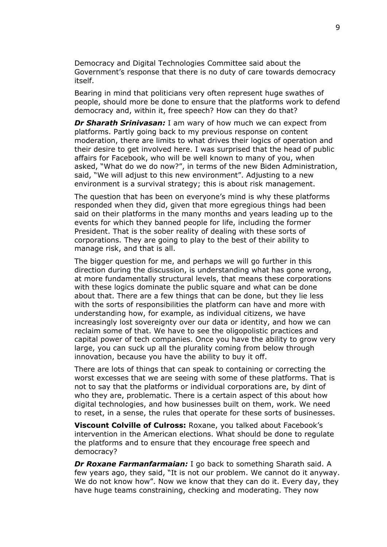Democracy and Digital Technologies Committee said about the Government's response that there is no duty of care towards democracy itself.

Bearing in mind that politicians very often represent huge swathes of people, should more be done to ensure that the platforms work to defend democracy and, within it, free speech? How can they do that?

*Dr Sharath Srinivasan:* I am wary of how much we can expect from platforms. Partly going back to my previous response on content moderation, there are limits to what drives their logics of operation and their desire to get involved here. I was surprised that the head of public affairs for Facebook, who will be well known to many of you, when asked, "What do we do now?", in terms of the new Biden Administration, said, "We will adjust to this new environment". Adjusting to a new environment is a survival strategy; this is about risk management.

The question that has been on everyone's mind is why these platforms responded when they did, given that more egregious things had been said on their platforms in the many months and years leading up to the events for which they banned people for life, including the former President. That is the sober reality of dealing with these sorts of corporations. They are going to play to the best of their ability to manage risk, and that is all.

The bigger question for me, and perhaps we will go further in this direction during the discussion, is understanding what has gone wrong, at more fundamentally structural levels, that means these corporations with these logics dominate the public square and what can be done about that. There are a few things that can be done, but they lie less with the sorts of responsibilities the platform can have and more with understanding how, for example, as individual citizens, we have increasingly lost sovereignty over our data or identity, and how we can reclaim some of that. We have to see the oligopolistic practices and capital power of tech companies. Once you have the ability to grow very large, you can suck up all the plurality coming from below through innovation, because you have the ability to buy it off.

There are lots of things that can speak to containing or correcting the worst excesses that we are seeing with some of these platforms. That is not to say that the platforms or individual corporations are, by dint of who they are, problematic. There is a certain aspect of this about how digital technologies, and how businesses built on them, work. We need to reset, in a sense, the rules that operate for these sorts of businesses.

**Viscount Colville of Culross:** Roxane, you talked about Facebook's intervention in the American elections. What should be done to regulate the platforms and to ensure that they encourage free speech and democracy?

*Dr Roxane Farmanfarmaian:* I go back to something Sharath said. A few years ago, they said, "It is not our problem. We cannot do it anyway. We do not know how". Now we know that they can do it. Every day, they have huge teams constraining, checking and moderating. They now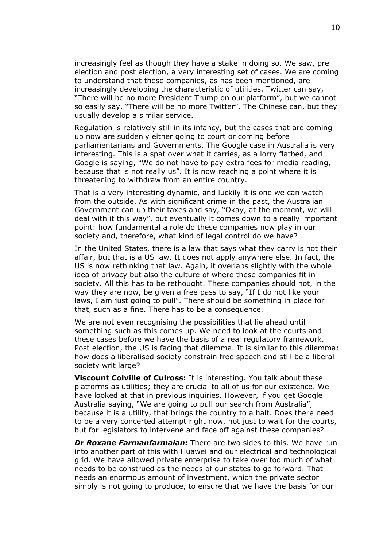increasingly feel as though they have a stake in doing so. We saw, pre election and post election, a very interesting set of cases. We are coming to understand that these companies, as has been mentioned, are increasingly developing the characteristic of utilities. Twitter can say, "There will be no more President Trump on our platform", but we cannot so easily say, "There will be no more Twitter". The Chinese can, but they usually develop a similar service.

Regulation is relatively still in its infancy, but the cases that are coming up now are suddenly either going to court or coming before parliamentarians and Governments. The Google case in Australia is very interesting. This is a spat over what it carries, as a lorry flatbed, and Google is saying, "We do not have to pay extra fees for media reading, because that is not really us". It is now reaching a point where it is threatening to withdraw from an entire country.

That is a very interesting dynamic, and luckily it is one we can watch from the outside. As with significant crime in the past, the Australian Government can up their taxes and say, "Okay, at the moment, we will deal with it this way", but eventually it comes down to a really important point: how fundamental a role do these companies now play in our society and, therefore, what kind of legal control do we have?

In the United States, there is a law that says what they carry is not their affair, but that is a US law. It does not apply anywhere else. In fact, the US is now rethinking that law. Again, it overlaps slightly with the whole idea of privacy but also the culture of where these companies fit in society. All this has to be rethought. These companies should not, in the way they are now, be given a free pass to say, "If I do not like your laws, I am just going to pull". There should be something in place for that, such as a fine. There has to be a consequence.

We are not even recognising the possibilities that lie ahead until something such as this comes up. We need to look at the courts and these cases before we have the basis of a real regulatory framework. Post election, the US is facing that dilemma. It is similar to this dilemma: how does a liberalised society constrain free speech and still be a liberal society writ large?

**Viscount Colville of Culross:** It is interesting. You talk about these platforms as utilities; they are crucial to all of us for our existence. We have looked at that in previous inquiries. However, if you get Google Australia saying, "We are going to pull our search from Australia", because it is a utility, that brings the country to a halt. Does there need to be a very concerted attempt right now, not just to wait for the courts, but for legislators to intervene and face off against these companies?

*Dr Roxane Farmanfarmaian:* There are two sides to this. We have run into another part of this with Huawei and our electrical and technological grid. We have allowed private enterprise to take over too much of what needs to be construed as the needs of our states to go forward. That needs an enormous amount of investment, which the private sector simply is not going to produce, to ensure that we have the basis for our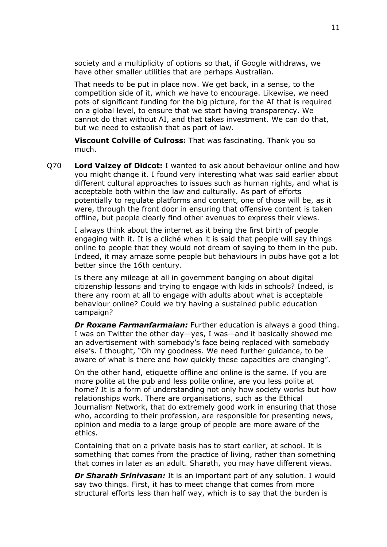society and a multiplicity of options so that, if Google withdraws, we have other smaller utilities that are perhaps Australian.

That needs to be put in place now. We get back, in a sense, to the competition side of it, which we have to encourage. Likewise, we need pots of significant funding for the big picture, for the AI that is required on a global level, to ensure that we start having transparency. We cannot do that without AI, and that takes investment. We can do that, but we need to establish that as part of law.

**Viscount Colville of Culross:** That was fascinating. Thank you so much.

Q70 **Lord Vaizey of Didcot:** I wanted to ask about behaviour online and how you might change it. I found very interesting what was said earlier about different cultural approaches to issues such as human rights, and what is acceptable both within the law and culturally. As part of efforts potentially to regulate platforms and content, one of those will be, as it were, through the front door in ensuring that offensive content is taken offline, but people clearly find other avenues to express their views.

I always think about the internet as it being the first birth of people engaging with it. It is a cliché when it is said that people will say things online to people that they would not dream of saying to them in the pub. Indeed, it may amaze some people but behaviours in pubs have got a lot better since the 16th century.

Is there any mileage at all in government banging on about digital citizenship lessons and trying to engage with kids in schools? Indeed, is there any room at all to engage with adults about what is acceptable behaviour online? Could we try having a sustained public education campaign?

*Dr Roxane Farmanfarmaian:* Further education is always a good thing. I was on Twitter the other day—yes, I was—and it basically showed me an advertisement with somebody's face being replaced with somebody else's. I thought, "Oh my goodness. We need further guidance, to be aware of what is there and how quickly these capacities are changing".

On the other hand, etiquette offline and online is the same. If you are more polite at the pub and less polite online, are you less polite at home? It is a form of understanding not only how society works but how relationships work. There are organisations, such as the Ethical Journalism Network, that do extremely good work in ensuring that those who, according to their profession, are responsible for presenting news, opinion and media to a large group of people are more aware of the ethics.

Containing that on a private basis has to start earlier, at school. It is something that comes from the practice of living, rather than something that comes in later as an adult. Sharath, you may have different views.

*Dr Sharath Srinivasan:* It is an important part of any solution. I would say two things. First, it has to meet change that comes from more structural efforts less than half way, which is to say that the burden is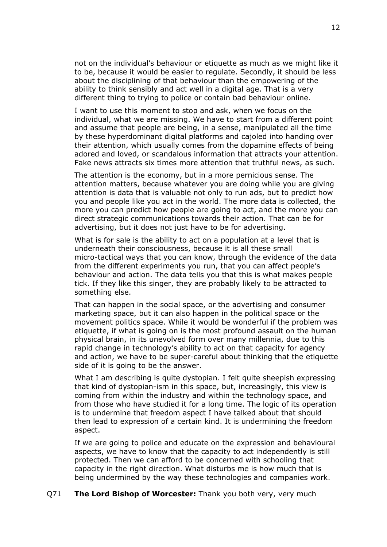not on the individual's behaviour or etiquette as much as we might like it to be, because it would be easier to regulate. Secondly, it should be less about the disciplining of that behaviour than the empowering of the ability to think sensibly and act well in a digital age. That is a very different thing to trying to police or contain bad behaviour online.

I want to use this moment to stop and ask, when we focus on the individual, what we are missing. We have to start from a different point and assume that people are being, in a sense, manipulated all the time by these hyperdominant digital platforms and cajoled into handing over their attention, which usually comes from the dopamine effects of being adored and loved, or scandalous information that attracts your attention. Fake news attracts six times more attention that truthful news, as such.

The attention is the economy, but in a more pernicious sense. The attention matters, because whatever you are doing while you are giving attention is data that is valuable not only to run ads, but to predict how you and people like you act in the world. The more data is collected, the more you can predict how people are going to act, and the more you can direct strategic communications towards their action. That can be for advertising, but it does not just have to be for advertising.

What is for sale is the ability to act on a population at a level that is underneath their consciousness, because it is all these small micro-tactical ways that you can know, through the evidence of the data from the different experiments you run, that you can affect people's behaviour and action. The data tells you that this is what makes people tick. If they like this singer, they are probably likely to be attracted to something else.

That can happen in the social space, or the advertising and consumer marketing space, but it can also happen in the political space or the movement politics space. While it would be wonderful if the problem was etiquette, if what is going on is the most profound assault on the human physical brain, in its unevolved form over many millennia, due to this rapid change in technology's ability to act on that capacity for agency and action, we have to be super-careful about thinking that the etiquette side of it is going to be the answer.

What I am describing is quite dystopian. I felt quite sheepish expressing that kind of dystopian-ism in this space, but, increasingly, this view is coming from within the industry and within the technology space, and from those who have studied it for a long time. The logic of its operation is to undermine that freedom aspect I have talked about that should then lead to expression of a certain kind. It is undermining the freedom aspect.

If we are going to police and educate on the expression and behavioural aspects, we have to know that the capacity to act independently is still protected. Then we can afford to be concerned with schooling that capacity in the right direction. What disturbs me is how much that is being undermined by the way these technologies and companies work.

#### Q71 **The Lord Bishop of Worcester:** Thank you both very, very much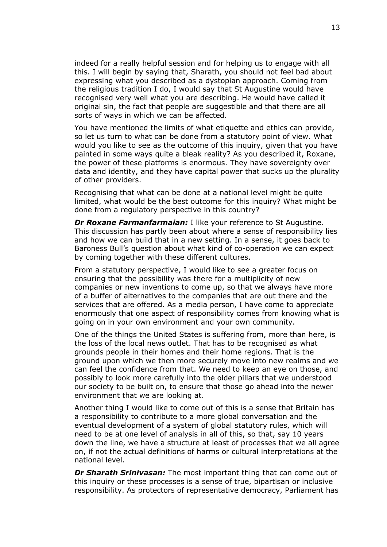indeed for a really helpful session and for helping us to engage with all this. I will begin by saying that, Sharath, you should not feel bad about expressing what you described as a dystopian approach. Coming from the religious tradition I do, I would say that St Augustine would have recognised very well what you are describing. He would have called it original sin, the fact that people are suggestible and that there are all sorts of ways in which we can be affected.

You have mentioned the limits of what etiquette and ethics can provide, so let us turn to what can be done from a statutory point of view. What would you like to see as the outcome of this inquiry, given that you have painted in some ways quite a bleak reality? As you described it, Roxane, the power of these platforms is enormous. They have sovereignty over data and identity, and they have capital power that sucks up the plurality of other providers.

Recognising that what can be done at a national level might be quite limited, what would be the best outcome for this inquiry? What might be done from a regulatory perspective in this country?

*Dr Roxane Farmanfarmaian: I like your reference to St Augustine.* This discussion has partly been about where a sense of responsibility lies and how we can build that in a new setting. In a sense, it goes back to Baroness Bull's question about what kind of co-operation we can expect by coming together with these different cultures.

From a statutory perspective, I would like to see a greater focus on ensuring that the possibility was there for a multiplicity of new companies or new inventions to come up, so that we always have more of a buffer of alternatives to the companies that are out there and the services that are offered. As a media person, I have come to appreciate enormously that one aspect of responsibility comes from knowing what is going on in your own environment and your own community.

One of the things the United States is suffering from, more than here, is the loss of the local news outlet. That has to be recognised as what grounds people in their homes and their home regions. That is the ground upon which we then more securely move into new realms and we can feel the confidence from that. We need to keep an eye on those, and possibly to look more carefully into the older pillars that we understood our society to be built on, to ensure that those go ahead into the newer environment that we are looking at.

Another thing I would like to come out of this is a sense that Britain has a responsibility to contribute to a more global conversation and the eventual development of a system of global statutory rules, which will need to be at one level of analysis in all of this, so that, say 10 years down the line, we have a structure at least of processes that we all agree on, if not the actual definitions of harms or cultural interpretations at the national level.

*Dr Sharath Srinivasan:* The most important thing that can come out of this inquiry or these processes is a sense of true, bipartisan or inclusive responsibility. As protectors of representative democracy, Parliament has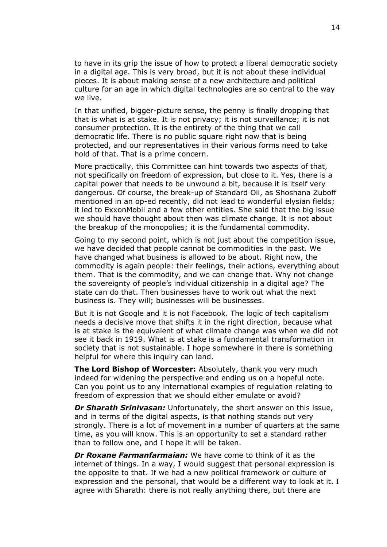to have in its grip the issue of how to protect a liberal democratic society in a digital age. This is very broad, but it is not about these individual pieces. It is about making sense of a new architecture and political culture for an age in which digital technologies are so central to the way we live.

In that unified, bigger-picture sense, the penny is finally dropping that that is what is at stake. It is not privacy; it is not surveillance; it is not consumer protection. It is the entirety of the thing that we call democratic life. There is no public square right now that is being protected, and our representatives in their various forms need to take hold of that. That is a prime concern.

More practically, this Committee can hint towards two aspects of that, not specifically on freedom of expression, but close to it. Yes, there is a capital power that needs to be unwound a bit, because it is itself very dangerous. Of course, the break-up of Standard Oil, as Shoshana Zuboff mentioned in an op-ed recently, did not lead to wonderful elysian fields; it led to ExxonMobil and a few other entities. She said that the big issue we should have thought about then was climate change. It is not about the breakup of the monopolies; it is the fundamental commodity.

Going to my second point, which is not just about the competition issue, we have decided that people cannot be commodities in the past. We have changed what business is allowed to be about. Right now, the commodity is again people: their feelings, their actions, everything about them. That is the commodity, and we can change that. Why not change the sovereignty of people's individual citizenship in a digital age? The state can do that. Then businesses have to work out what the next business is. They will; businesses will be businesses.

But it is not Google and it is not Facebook. The logic of tech capitalism needs a decisive move that shifts it in the right direction, because what is at stake is the equivalent of what climate change was when we did not see it back in 1919. What is at stake is a fundamental transformation in society that is not sustainable. I hope somewhere in there is something helpful for where this inquiry can land.

**The Lord Bishop of Worcester:** Absolutely, thank you very much indeed for widening the perspective and ending us on a hopeful note. Can you point us to any international examples of regulation relating to freedom of expression that we should either emulate or avoid?

*Dr Sharath Srinivasan:* Unfortunately, the short answer on this issue, and in terms of the digital aspects, is that nothing stands out very strongly. There is a lot of movement in a number of quarters at the same time, as you will know. This is an opportunity to set a standard rather than to follow one, and I hope it will be taken.

*Dr Roxane Farmanfarmaian:* We have come to think of it as the internet of things. In a way, I would suggest that personal expression is the opposite to that. If we had a new political framework or culture of expression and the personal, that would be a different way to look at it. I agree with Sharath: there is not really anything there, but there are